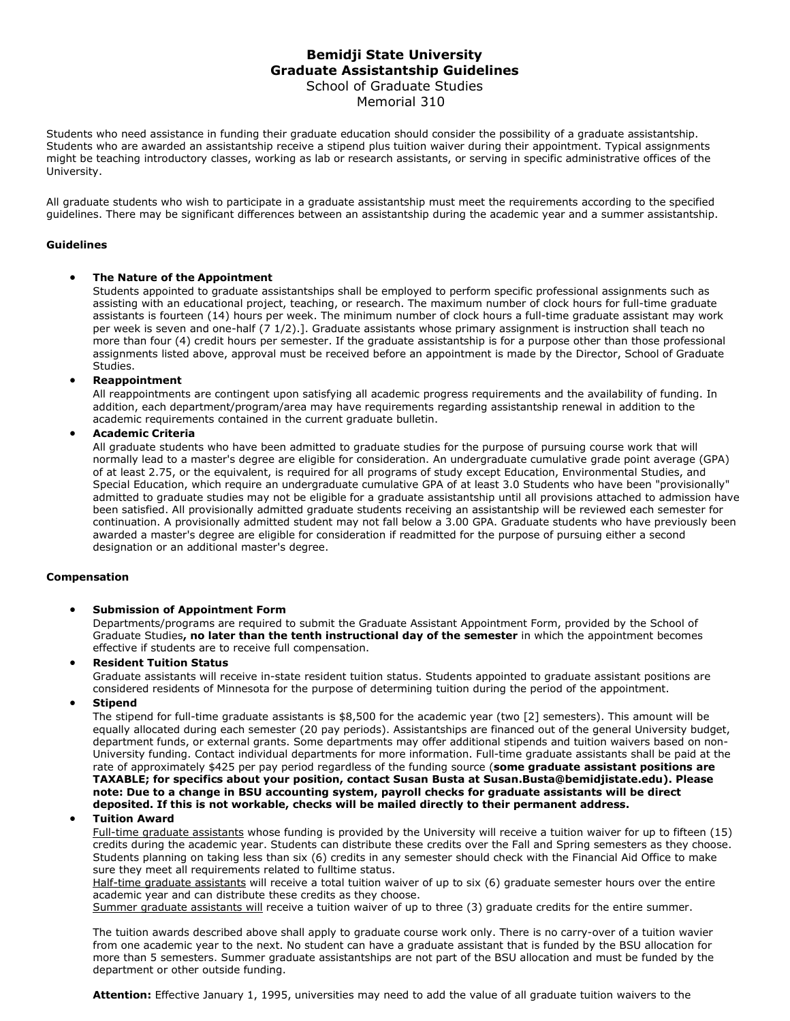# **Bemidji State University Graduate Assistantship Guidelines** School of Graduate Studies Memorial 310

Students who need assistance in funding their graduate education should consider the possibility of a graduate assistantship. Students who are awarded an assistantship receive a stipend plus tuition waiver during their appointment. Typical assignments might be teaching introductory classes, working as lab or research assistants, or serving in specific administrative offices of the University.

All graduate students who wish to participate in a graduate assistantship must meet the requirements according to the specified guidelines. There may be significant differences between an assistantship during the academic year and a summer assistantship.

#### **Guidelines**

## • **The Nature of the Appointment**

Students appointed to graduate assistantships shall be employed to perform specific professional assignments such as assisting with an educational project, teaching, or research. The maximum number of clock hours for full-time graduate assistants is fourteen (14) hours per week. The minimum number of clock hours a full-time graduate assistant may work per week is seven and one-half (7 1/2).]. Graduate assistants whose primary assignment is instruction shall teach no more than four (4) credit hours per semester. If the graduate assistantship is for a purpose other than those professional assignments listed above, approval must be received before an appointment is made by the Director, School of Graduate Studies.

#### • **Reappointment**

All reappointments are contingent upon satisfying all academic progress requirements and the availability of funding. In addition, each department/program/area may have requirements regarding assistantship renewal in addition to the academic requirements contained in the current graduate bulletin.

#### • **Academic Criteria**

All graduate students who have been admitted to graduate studies for the purpose of pursuing course work that will normally lead to a master's degree are eligible for consideration. An undergraduate cumulative grade point average (GPA) of at least 2.75, or the equivalent, is required for all programs of study except Education, Environmental Studies, and Special Education, which require an undergraduate cumulative GPA of at least 3.0 Students who have been "provisionally" admitted to graduate studies may not be eligible for a graduate assistantship until all provisions attached to admission have been satisfied. All provisionally admitted graduate students receiving an assistantship will be reviewed each semester for continuation. A provisionally admitted student may not fall below a 3.00 GPA. Graduate students who have previously been awarded a master's degree are eligible for consideration if readmitted for the purpose of pursuing either a second designation or an additional master's degree.

#### **Compensation**

#### • **Submission of Appointment Form**

Departments/programs are required to submit the Graduate Assistant Appointment Form, provided by the School of Graduate Studies**, no later than the tenth instructional day of the semester** in which the appointment becomes effective if students are to receive full compensation.

#### • **Resident Tuition Status**

Graduate assistants will receive in-state resident tuition status. Students appointed to graduate assistant positions are considered residents of Minnesota for the purpose of determining tuition during the period of the appointment.

#### • **Stipend**

The stipend for full-time graduate assistants is \$8,500 for the academic year (two [2] semesters). This amount will be equally allocated during each semester (20 pay periods). Assistantships are financed out of the general University budget, department funds, or external grants. Some departments may offer additional stipends and tuition waivers based on non-University funding. Contact individual departments for more information. Full-time graduate assistants shall be paid at the rate of approximately \$425 per pay period regardless of the funding source (**some graduate assistant positions are TAXABLE; for specifics about your position, contact Susan Busta at Susan.Busta@bemidjistate.edu). Please note: Due to a change in BSU accounting system, payroll checks for graduate assistants will be direct deposited. If this is not workable, checks will be mailed directly to their permanent address.**

#### • **Tuition Award**

Full-time graduate assistants whose funding is provided by the University will receive a tuition waiver for up to fifteen (15) credits during the academic year. Students can distribute these credits over the Fall and Spring semesters as they choose. Students planning on taking less than six (6) credits in any semester should check with the Financial Aid Office to make sure they meet all requirements related to fulltime status.

Half-time graduate assistants will receive a total tuition waiver of up to six (6) graduate semester hours over the entire academic year and can distribute these credits as they choose.

Summer graduate assistants will receive a tuition waiver of up to three (3) graduate credits for the entire summer.

The tuition awards described above shall apply to graduate course work only. There is no carry-over of a tuition wavier from one academic year to the next. No student can have a graduate assistant that is funded by the BSU allocation for more than 5 semesters. Summer graduate assistantships are not part of the BSU allocation and must be funded by the department or other outside funding.

**Attention:** Effective January 1, 1995, universities may need to add the value of all graduate tuition waivers to the